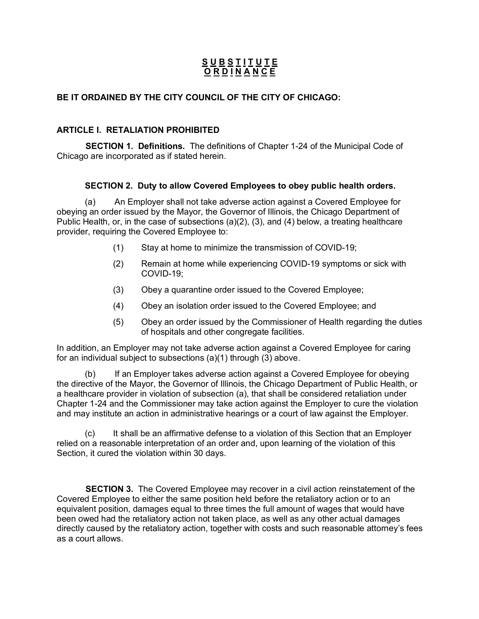# **S U B S T I T U T E O R D I N A N C E**

## **BE IT ORDAINED BY THE CITY COUNCIL OF THE CITY OF CHICAGO:**

## **ARTICLE I. RETALIATION PROHIBITED**

 **SECTION 1. Definitions.** The definitions of Chapter 1-24 of the Municipal Code of Chicago are incorporated as if stated herein.

## **SECTION 2. Duty to allow Covered Employees to obey public health orders.**

(a) An Employer shall not take adverse action against a Covered Employee for obeying an order issued by the Mayor, the Governor of Illinois, the Chicago Department of Public Health, or, in the case of subsections (a)(2), (3), and (4) below, a treating healthcare provider, requiring the Covered Employee to:

- (1) Stay at home to minimize the transmission of COVID-19;
- (2) Remain at home while experiencing COVID-19 symptoms or sick with COVID-19;
- (3) Obey a quarantine order issued to the Covered Employee;
- (4) Obey an isolation order issued to the Covered Employee; and
- (5) Obey an order issued by the Commissioner of Health regarding the duties of hospitals and other congregate facilities.

In addition, an Employer may not take adverse action against a Covered Employee for caring for an individual subject to subsections (a)(1) through (3) above.

(b) If an Employer takes adverse action against a Covered Employee for obeying the directive of the Mayor, the Governor of Illinois, the Chicago Department of Public Health, or a healthcare provider in violation of subsection (a), that shall be considered retaliation under Chapter 1-24 and the Commissioner may take action against the Employer to cure the violation and may institute an action in administrative hearings or a court of law against the Employer.

(c) It shall be an affirmative defense to a violation of this Section that an Employer relied on a reasonable interpretation of an order and, upon learning of the violation of this Section, it cured the violation within 30 days.

 **SECTION 3.** The Covered Employee may recover in a civil action reinstatement of the Covered Employee to either the same position held before the retaliatory action or to an equivalent position, damages equal to three times the full amount of wages that would have been owed had the retaliatory action not taken place, as well as any other actual damages directly caused by the retaliatory action, together with costs and such reasonable attorney's fees as a court allows.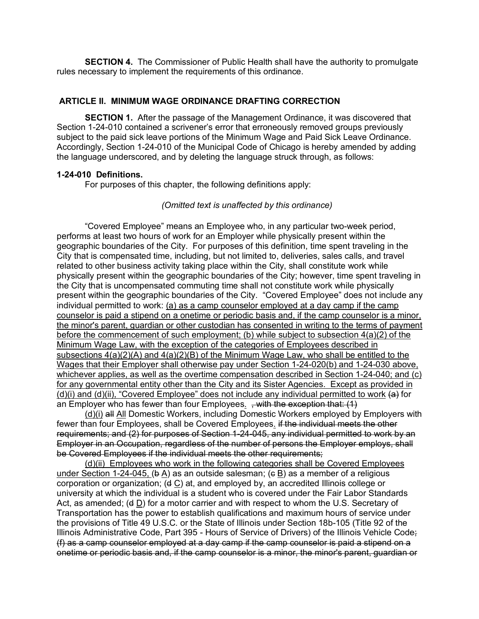**SECTION 4.** The Commissioner of Public Health shall have the authority to promulgate rules necessary to implement the requirements of this ordinance.

#### **ARTICLE II. MINIMUM WAGE ORDINANCE DRAFTING CORRECTION**

**SECTION 1.** After the passage of the Management Ordinance, it was discovered that Section 1-24-010 contained a scrivener's error that erroneously removed groups previously subject to the paid sick leave portions of the Minimum Wage and Paid Sick Leave Ordinance. Accordingly, Section 1-24-010 of the Municipal Code of Chicago is hereby amended by adding the language underscored, and by deleting the language struck through, as follows:

#### **1-24-010 Definitions.**

For purposes of this chapter, the following definitions apply:

#### *(Omitted text is unaffected by this ordinance)*

"Covered Employee" means an Employee who, in any particular two-week period, performs at least two hours of work for an Employer while physically present within the geographic boundaries of the City. For purposes of this definition, time spent traveling in the City that is compensated time, including, but not limited to, deliveries, sales calls, and travel related to other business activity taking place within the City, shall constitute work while physically present within the geographic boundaries of the City; however, time spent traveling in the City that is uncompensated commuting time shall not constitute work while physically present within the geographic boundaries of the City. "Covered Employee" does not include any individual permitted to work: (a) as a camp counselor employed at a day camp if the camp counselor is paid a stipend on a onetime or periodic basis and, if the camp counselor is a minor, the minor's parent, guardian or other custodian has consented in writing to the terms of payment before the commencement of such employment; (b) while subject to subsection 4(a)(2) of the Minimum Wage Law, with the exception of the categories of Employees described in subsections  $4(a)(2)(A)$  and  $4(a)(2)(B)$  of the Minimum Wage Law, who shall be entitled to the Wages that their Employer shall otherwise pay under Section 1-24-020(b) and 1-24-030 above, whichever applies, as well as the overtime compensation described in Section 1-24-040; and (c) for any governmental entity other than the City and its Sister Agencies. Except as provided in (d)(i) and (d)(ii), "Covered Employee" does not include any individual permitted to work  $\leftrightarrow$  for an Employer who has fewer than four Employees.  $,$  with the exception that:  $(1)$ 

(d)(i) all All Domestic Workers, including Domestic Workers employed by Employers with fewer than four Employees, shall be Covered Employees. if the individual meets the other requirements; and (2) for purposes of Section 1-24-045, any individual permitted to work by an Employer in an Occupation, regardless of the number of persons the Employer employs, shall be Covered Employees if the individual meets the other requirements:

(d)(ii) Employees who work in the following categories shall be Covered Employees under Section 1-24-045,  $(b A)$  as an outside salesman;  $(c B)$  as a member of a religious corporation or organization; (d C) at, and employed by, an accredited Illinois college or university at which the individual is a student who is covered under the Fair Labor Standards Act, as amended; (d D) for a motor carrier and with respect to whom the U.S. Secretary of Transportation has the power to establish qualifications and maximum hours of service under the provisions of Title 49 U.S.C. or the State of Illinois under Section 18b-105 (Title 92 of the Illinois Administrative Code, Part 395 - Hours of Service of Drivers) of the Illinois Vehicle Code; (f) as a camp counselor employed at a day camp if the camp counselor is paid a stipend on a onetime or periodic basis and, if the camp counselor is a minor, the minor's parent, guardian or